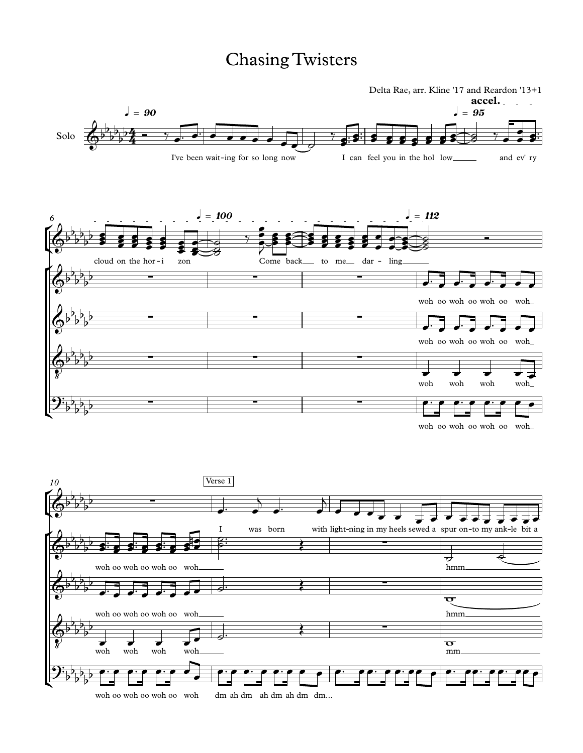## Chasing Twisters





woh oo woh oo woh oo woh dm ah dm ahdm ah dm dm...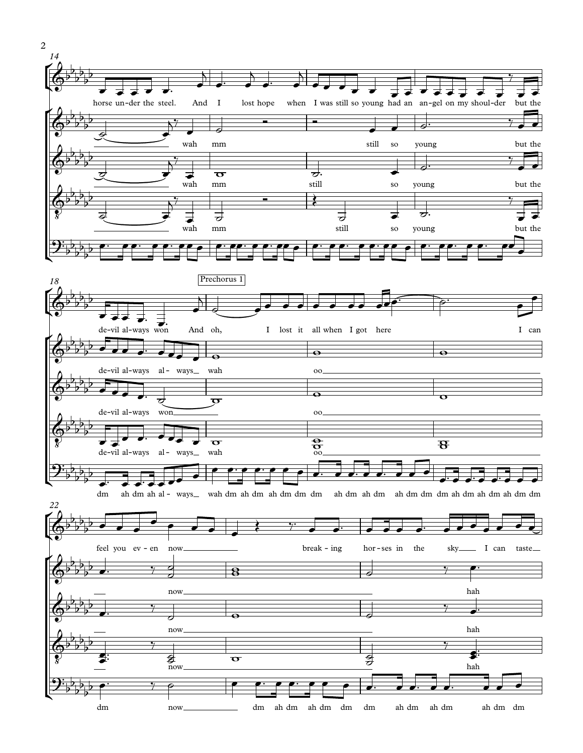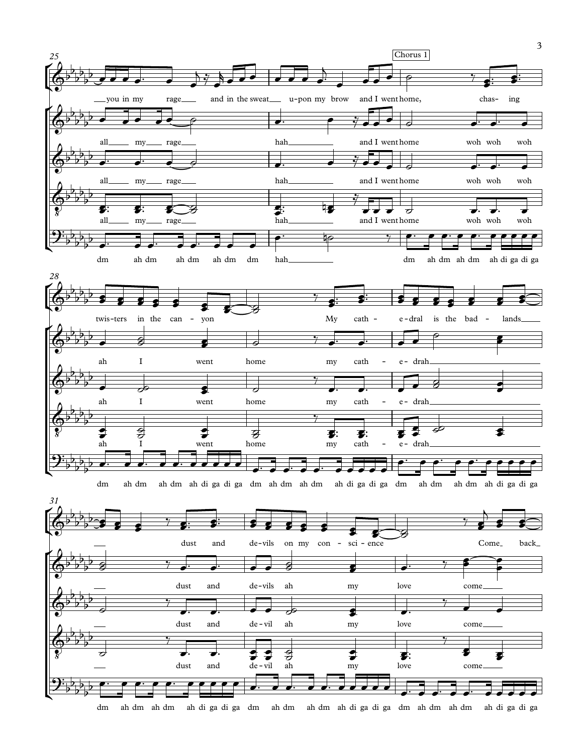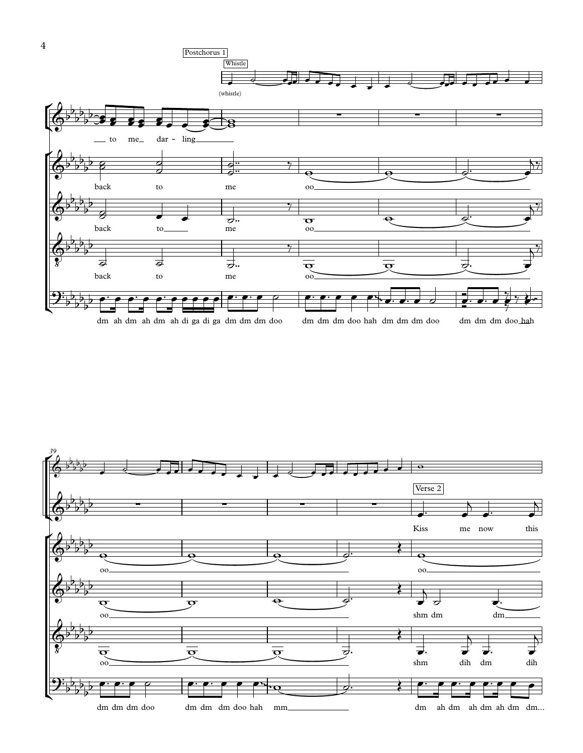

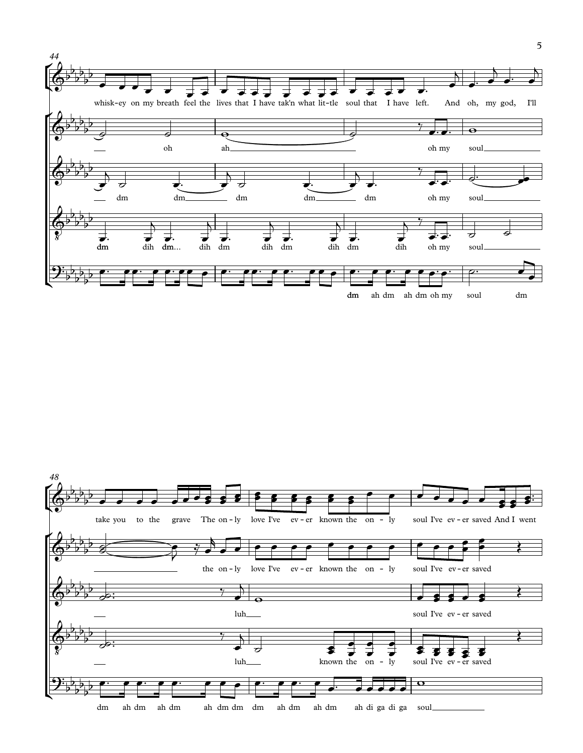

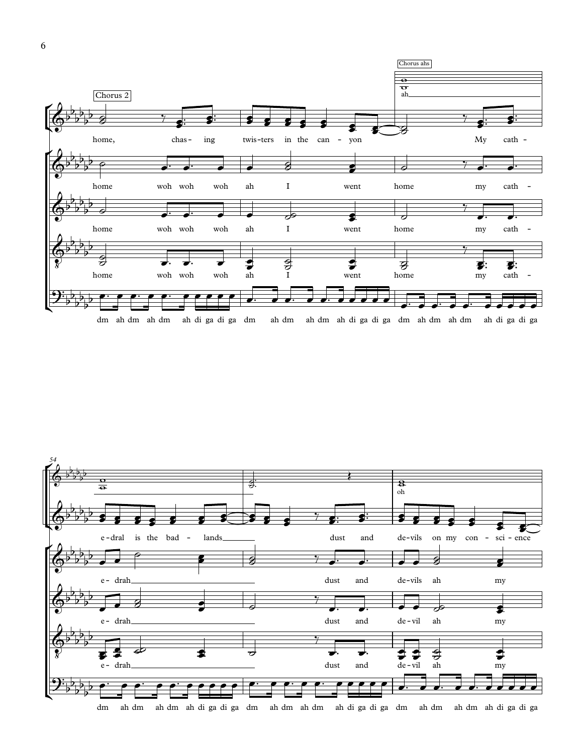

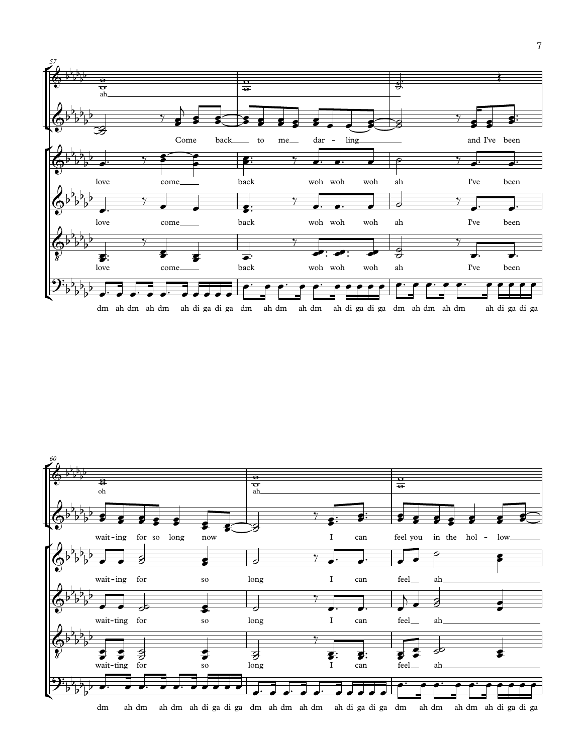

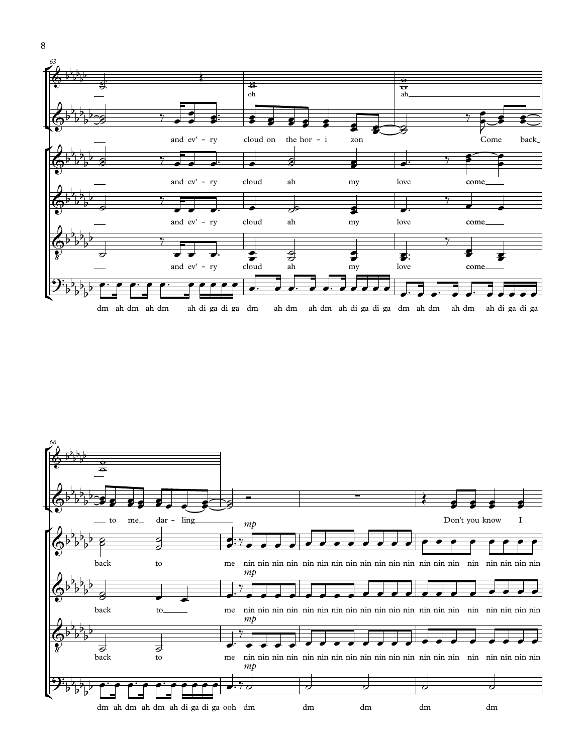



8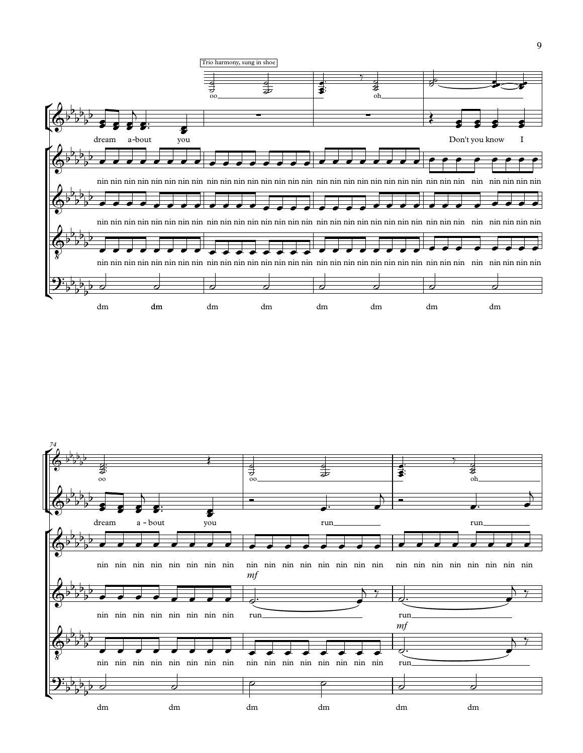

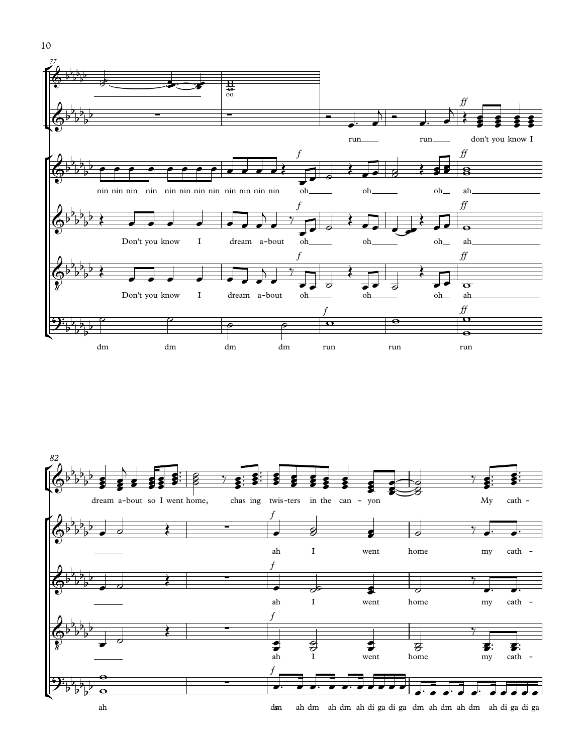



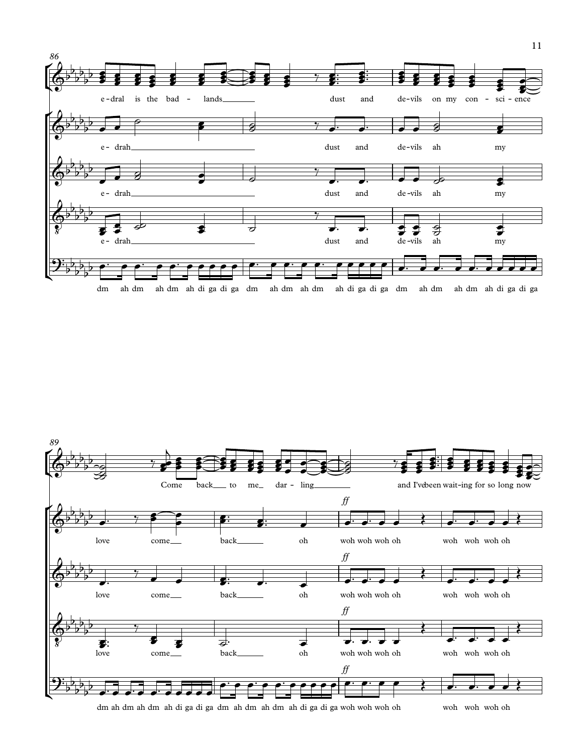



dm ah dm ah dm ah di ga di ga dm ah dm ah dm ah di ga di ga woh woh woh oh

woh woh oh woh woh woh oh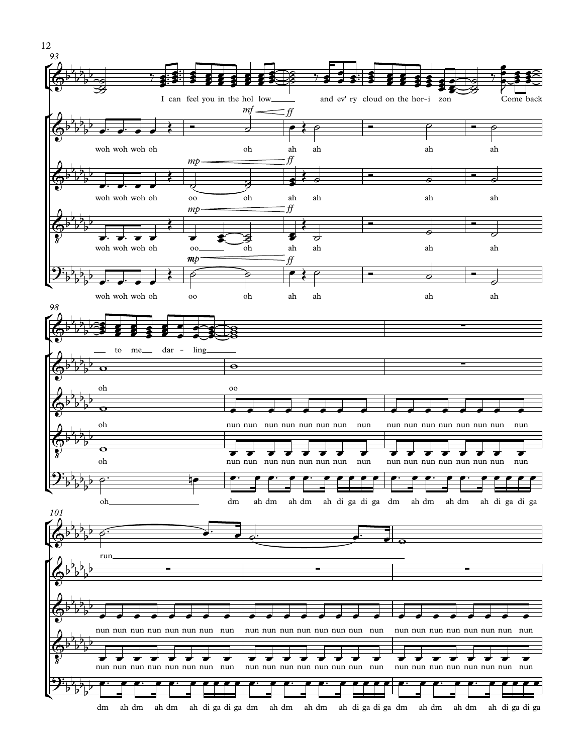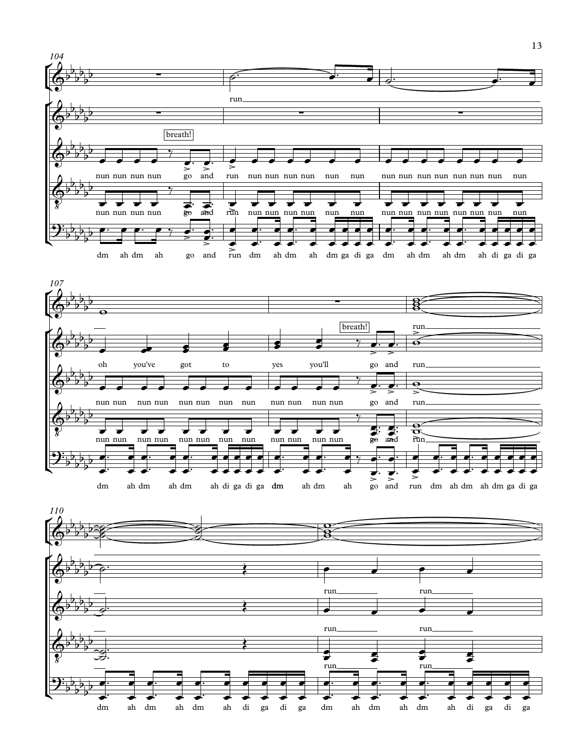





13